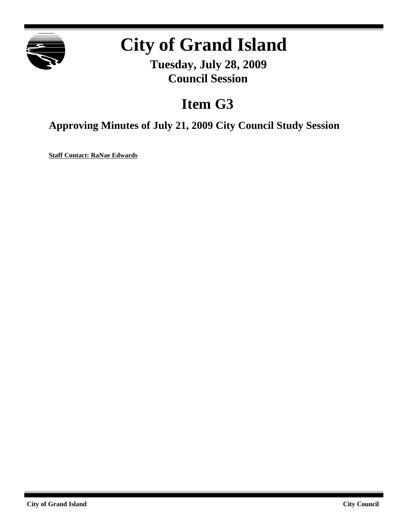

# **City of Grand Island**

**Tuesday, July 28, 2009 Council Session**

# **Item G3**

**Approving Minutes of July 21, 2009 City Council Study Session**

**Staff Contact: RaNae Edwards**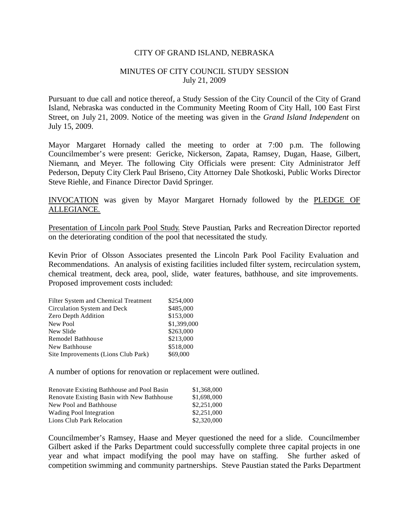### CITY OF GRAND ISLAND, NEBRASKA

## MINUTES OF CITY COUNCIL STUDY SESSION July 21, 2009

Pursuant to due call and notice thereof, a Study Session of the City Council of the City of Grand Island, Nebraska was conducted in the Community Meeting Room of City Hall, 100 East First Street, on July 21, 2009. Notice of the meeting was given in the *Grand Island Independent* on July 15, 2009.

Mayor Margaret Hornady called the meeting to order at 7:00 p.m. The following Councilmember's were present: Gericke, Nickerson, Zapata, Ramsey, Dugan, Haase, Gilbert, Niemann, and Meyer. The following City Officials were present: City Administrator Jeff Pederson, Deputy City Clerk Paul Briseno, City Attorney Dale Shotkoski, Public Works Director Steve Riehle, and Finance Director David Springer.

INVOCATION was given by Mayor Margaret Hornady followed by the PLEDGE OF ALLEGIANCE.

Presentation of Lincoln park Pool Study. Steve Paustian, Parks and Recreation Director reported on the deteriorating condition of the pool that necessitated the study.

Kevin Prior of Olsson Associates presented the Lincoln Park Pool Facility Evaluation and Recommendations. An analysis of existing facilities included filter system, recirculation system, chemical treatment, deck area, pool, slide, water features, bathhouse, and site improvements. Proposed improvement costs included:

| Filter System and Chemical Treatment | \$254,000   |
|--------------------------------------|-------------|
| Circulation System and Deck          | \$485,000   |
| Zero Depth Addition                  | \$153,000   |
| New Pool                             | \$1,399,000 |
| New Slide                            | \$263,000   |
| Remodel Bathhouse                    | \$213,000   |
| New Bathhouse                        | \$518,000   |
| Site Improvements (Lions Club Park)  | \$69,000    |

A number of options for renovation or replacement were outlined.

| Renovate Existing Bathhouse and Pool Basin | \$1,368,000 |
|--------------------------------------------|-------------|
| Renovate Existing Basin with New Bathhouse | \$1,698,000 |
| New Pool and Bathhouse                     | \$2,251,000 |
| <b>Wading Pool Integration</b>             | \$2,251,000 |
| Lions Club Park Relocation                 | \$2,320,000 |
|                                            |             |

Councilmember's Ramsey, Haase and Meyer questioned the need for a slide. Councilmember Gilbert asked if the Parks Department could successfully complete three capital projects in one year and what impact modifying the pool may have on staffing. She further asked of competition swimming and community partnerships. Steve Paustian stated the Parks Department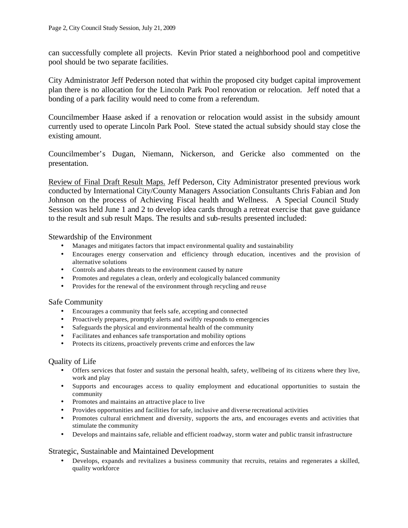can successfully complete all projects. Kevin Prior stated a neighborhood pool and competitive pool should be two separate facilities.

City Administrator Jeff Pederson noted that within the proposed city budget capital improvement plan there is no allocation for the Lincoln Park Pool renovation or relocation. Jeff noted that a bonding of a park facility would need to come from a referendum.

Councilmember Haase asked if a renovation or relocation would assist in the subsidy amount currently used to operate Lincoln Park Pool. Steve stated the actual subsidy should stay close the existing amount.

Councilmember's Dugan, Niemann, Nickerson, and Gericke also commented on the presentation.

Review of Final Draft Result Maps. Jeff Pederson, City Administrator presented previous work conducted by International City/County Managers Association Consultants Chris Fabian and Jon Johnson on the process of Achieving Fiscal health and Wellness. A Special Council Study Session was held June 1 and 2 to develop idea cards through a retreat exercise that gave guidance to the result and sub result Maps. The results and sub-results presented included:

Stewardship of the Environment

- Manages and mitigates factors that impact environmental quality and sustainability
- Encourages energy conservation and efficiency through education, incentives and the provision of alternative solutions
- Controls and abates threats to the environment caused by nature
- Promotes and regulates a clean, orderly and ecologically balanced community
- Provides for the renewal of the environment through recycling and reuse

# Safe Community

- Encourages a community that feels safe, accepting and connected
- Proactively prepares, promptly alerts and swiftly responds to emergencies
- Safeguards the physical and environmental health of the community
- Facilitates and enhances safe transportation and mobility options
- Protects its citizens, proactively prevents crime and enforces the law

#### Quality of Life

- Offers services that foster and sustain the personal health, safety, wellbeing of its citizens where they live, work and play
- Supports and encourages access to quality employment and educational opportunities to sustain the community
- Promotes and maintains an attractive place to live
- Provides opportunities and facilities for safe, inclusive and diverse recreational activities
- Promotes cultural enrichment and diversity, supports the arts, and encourages events and activities that stimulate the community
- Develops and maintains safe, reliable and efficient roadway, storm water and public transit infrastructure

# Strategic, Sustainable and Maintained Development

• Develops, expands and revitalizes a business community that recruits, retains and regenerates a skilled, quality workforce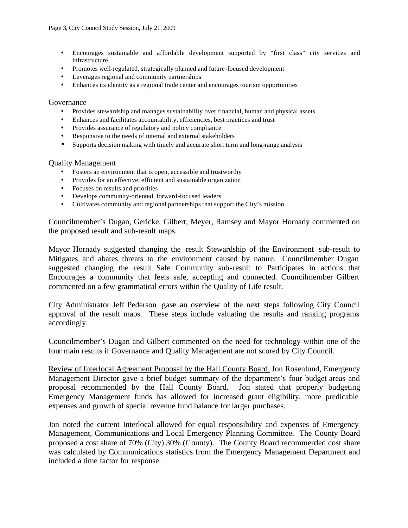- Encourages sustainable and affordable development supported by "first class" city services and infrastructure
- Promotes well-regulated, strategically planned and future-focused development
- Leverages regional and community partnerships
- Enhances its identity as a regional trade center and encourages tourism opportunities

#### Governance

- Provides stewardship and manages sustainability over financial, human and physical assets
- Enhances and facilitates accountability, efficiencies, best practices and trust
- Provides assurance of regulatory and policy compliance
- Responsive to the needs of internal and external stakeholders
- Supports decision making with timely and accurate short term and long-range analysis

#### Quality Management

- Fosters an environment that is open, accessible and trustworthy
- Provides for an effective, efficient and sustainable organization
- Focuses on results and priorities
- Develops community-oriented, forward-focused leaders
- Cultivates community and regional partnerships that support the City's mission

Councilmember's Dugan, Gericke, Gilbert, Meyer, Ramsey and Mayor Hornady commented on the proposed result and sub-result maps.

Mayor Hornady suggested changing the result Stewardship of the Environment sub-result to Mitigates and abates threats to the environment caused by nature. Councilmember Dugan suggested changing the result Safe Community sub-result to Participates in actions that Encourages a community that feels safe, accepting and connected. Councilmember Gilbert commented on a few grammatical errors within the Quality of Life result.

City Administrator Jeff Pederson gave an overview of the next steps following City Council approval of the result maps. These steps include valuating the results and ranking programs accordingly.

Councilmember's Dugan and Gilbert commented on the need for technology within one of the four main results if Governance and Quality Management are not scored by City Council.

Review of Interlocal Agreement Proposal by the Hall County Board. Jon Rosenlund, Emergency Management Director gave a brief budget summary of the department's four budget areas and proposal recommended by the Hall County Board. Jon stated that properly budgeting Emergency Management funds has allowed for increased grant eligibility, more predicable expenses and growth of special revenue fund balance for larger purchases.

Jon noted the current Interlocal allowed for equal responsibility and expenses of Emergency Management, Communications and Local Emergency Planning Committee. The County Board proposed a cost share of 70% (City) 30% (County). The County Board recommended cost share was calculated by Communications statistics from the Emergency Management Department and included a time factor for response.